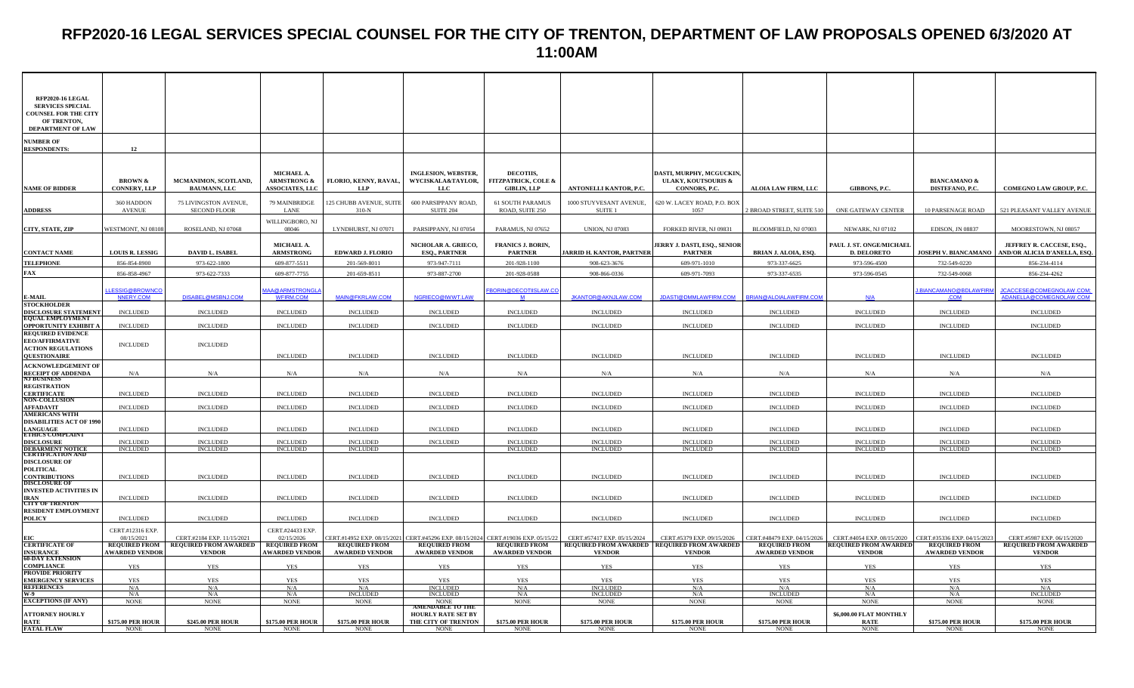# **RFP2020-16 LEGAL SERVICES SPECIAL COUNSEL FOR THE CITY OF TRENTON, DEPARTMENT OF LAW PROPOSALS OPENED 6/3/2020 AT 11:00AM**

| RFP2020-16 LEGAL<br><b>SERVICES SPECIAL</b><br><b>COUNSEL FOR THE CITY</b><br>OF TRENTON,<br><b>DEPARTMENT OF LAW</b> |                                           |                                                                            |                                                                      |                                      |                                                                                                           |                                                                         |                                                                            |                                                                                  |                                                     |                                                            |                                                     |                                                                 |
|-----------------------------------------------------------------------------------------------------------------------|-------------------------------------------|----------------------------------------------------------------------------|----------------------------------------------------------------------|--------------------------------------|-----------------------------------------------------------------------------------------------------------|-------------------------------------------------------------------------|----------------------------------------------------------------------------|----------------------------------------------------------------------------------|-----------------------------------------------------|------------------------------------------------------------|-----------------------------------------------------|-----------------------------------------------------------------|
| <b>NUMBER OF</b><br><b>RESPONDENTS:</b>                                                                               | 12                                        |                                                                            |                                                                      |                                      |                                                                                                           |                                                                         |                                                                            |                                                                                  |                                                     |                                                            |                                                     |                                                                 |
| <b>NAME OF BIDDER</b>                                                                                                 | <b>BROWN &amp;</b><br><b>CONNERY, LLP</b> | MCMANIMON, SCOTLAND,<br><b>BAUMANN, LLC</b>                                | <b>MICHAEL A</b><br><b>ARMSTRONG &amp;</b><br><b>ASSOCIATES, LLC</b> | FLORIO, KENNY, RAVAL,<br>LLP         | <b>INGLESION, WEBSTER,</b><br>WYCISKALA&TAYLOR,<br><b>LLC</b>                                             | <b>DECOTHS.</b><br><b>FITZPATRICK, COLE &amp;</b><br><b>GIBLIN, LLP</b> | ANTONELLI KANTOR, P.C.                                                     | DASTI, MURPHY, MCGUCKIN<br><b>ULAKY, KOUTSOURIS &amp;</b><br><b>CONNORS, P.C</b> | ALOIA LAW FIRM, LLC                                 | GIBBONS, P.C.                                              | <b>BIANCAMANO &amp;</b><br>DISTEFANO, P.C.          | COMEGNO LAW GROUP, P.C.                                         |
| <b>ADDRESS</b>                                                                                                        | 360 HADDON<br><b>AVENUE</b>               | 75 LIVINGSTON AVENUE,<br><b>SECOND FLOOR</b>                               | 79 MAINBRIDGE<br>LANE                                                | 125 CHUBB AVENUE, SUITE<br>$310-N$   | 600 PARSIPPANY ROAD,<br><b>SUITE 204</b>                                                                  | 61 SOUTH PARAMUS<br>ROAD, SUITE 250                                     | 1000 STUYVESANT AVENUE,<br>SUITE <sub>1</sub>                              | 620 W. LACEY ROAD, P.O. BOX<br>1057                                              | BROAD STREET, SUITE 510                             | ONE GATEWAY CENTER                                         | 10 PARSENAGE ROAD                                   | 521 PLEASANT VALLEY AVENUE                                      |
| CITY, STATE, ZIP                                                                                                      | WESTMONT, NJ 08108                        | ROSELAND, NJ 07068                                                         | WILLINGBORO, NJ<br>08046                                             | LYNDHURST, NJ 07071                  | PARSIPPANY, NJ 07054                                                                                      | PARAMUS, NJ 07652                                                       | <b>UNION, NJ 07083</b>                                                     | FORKED RIVER, NJ 09831                                                           | BLOOMFIELD, NJ 07003                                | NEWARK, NJ 07102                                           | EDISON, JN 08837                                    | MOORESTOWN, NJ 08057                                            |
| <b>CONTACT NAME</b>                                                                                                   | <b>LOUIS R. LESSIG</b>                    | <b>DAVID L. ISABEL</b>                                                     | MICHAEL A.<br><b>ARMSTRONG</b>                                       | <b>EDWARD J. FLORIO</b>              | NICHOLAR A. GRIECO,<br><b>ESQ., PARTNER</b>                                                               | <b>FRANICS J. BORIN,</b><br><b>PARTNER</b>                              | ARRID H. KANTOR, PARTNER                                                   | JERRY J. DASTI, ESQ., SENIOR<br><b>PARTNER</b>                                   | <b>BRIAN J. ALOIA, ESQ.</b>                         | PAUL J. ST. ONGE/MICHAEL<br><b>D. DELORETO</b>             | <b>JOSEPH V. BIANCAMANO</b>                         | JEFFREY R. CACCESE, ESQ.,<br><b>AND/OR ALICIA D'ANELLA, ESQ</b> |
| <b>TELEPHONE</b>                                                                                                      | 856-854-8900                              | 973-622-1800                                                               | 609-877-5511                                                         | 201-569-8011                         | 973-947-7111                                                                                              | 201-928-1100                                                            | 908-623-3676                                                               | 609-971-1010                                                                     | 973-337-6625                                        | 973-596-4500                                               | 732-549-0220                                        | 856-234-4114                                                    |
| FAX                                                                                                                   | 856-858-4967                              | 973-622-7333                                                               | 609-877-7755                                                         | 201-659-8511                         | 973-887-2700                                                                                              | 201-928-0588                                                            | 908-866-0336                                                               | 609-971-7093                                                                     | 973-337-6535                                        | 973-596-0545                                               | 732-549-0068                                        | 856-234-4262                                                    |
| E-MAIL                                                                                                                | <b>ESSIG@BROWNCO</b><br>NNERY.COM         | DISABEL@MSBNJ.COM                                                          | AA@ARMSTRONGL<br><b>WFIRM.COM</b>                                    | MAIN@FKRLAW.COM                      | NGRIECO@IWWT.LAW                                                                                          | <u>FBORIN@DECOTIISLAW.CO</u><br>M                                       | <b>JKANTOR@AKNJLAW.COM</b>                                                 | <b>JDASTI@DMMLAWFIRM.COM</b>                                                     | RIAN@ALOIALAWFIRM.COM                               | N/A                                                        | BIANCAMANO@BDLAWFIRI<br>.COM                        | JCACCESE@COMEGNOLAW.COM;<br>ADANELLA@COMEGNOLAW.COM             |
| <b>STOCKHOLDER</b>                                                                                                    |                                           |                                                                            |                                                                      |                                      |                                                                                                           |                                                                         |                                                                            |                                                                                  |                                                     |                                                            |                                                     |                                                                 |
| <b>DISCLOSURE STATEMENT</b><br><b>EQUAL EMPLOYMENT</b>                                                                | <b>INCLUDED</b>                           | <b>INCLUDED</b>                                                            | <b>INCLUDED</b>                                                      | <b>INCLUDED</b>                      | <b>INCLUDED</b>                                                                                           | <b>INCLUDED</b>                                                         | <b>INCLUDED</b>                                                            | <b>INCLUDED</b>                                                                  | <b>INCLUDED</b>                                     | <b>INCLUDED</b>                                            | <b>INCLUDED</b>                                     | <b>INCLUDED</b>                                                 |
| <b>OPPORTUNITY EXHIBIT</b>                                                                                            | <b>INCLUDED</b>                           | <b>INCLUDED</b>                                                            | <b>INCLUDED</b>                                                      | <b>INCLUDED</b>                      | <b>INCLUDED</b>                                                                                           | <b>INCLUDED</b>                                                         | <b>INCLUDED</b>                                                            | <b>INCLUDED</b>                                                                  | <b>INCLUDED</b>                                     | <b>INCLUDED</b>                                            | <b>INCLUDED</b>                                     | <b>INCLUDED</b>                                                 |
| <b>REQUIRED EVIDENCE</b><br><b>EEO/AFFIRMATIVE</b><br><b>ACTION REGULATIONS</b><br><b>QUESTIONAIRE</b>                | <b>INCLUDED</b>                           | <b>INCLUDED</b>                                                            | <b>INCLUDED</b>                                                      | <b>INCLUDED</b>                      | <b>INCLUDED</b>                                                                                           | <b>INCLUDED</b>                                                         | <b>INCLUDED</b>                                                            | <b>INCLUDED</b>                                                                  | <b>INCLUDED</b>                                     | <b>INCLUDED</b>                                            | <b>INCLUDED</b>                                     | <b>INCLUDED</b>                                                 |
| <b>ACKNOWLEDGEMENT OF</b>                                                                                             |                                           |                                                                            |                                                                      |                                      |                                                                                                           |                                                                         |                                                                            |                                                                                  |                                                     |                                                            |                                                     |                                                                 |
| <b>RECEIPT OF ADDENDA</b><br>NJ BUSINESS                                                                              | N/A                                       | N/A                                                                        | N/A                                                                  | N/A                                  | N/A                                                                                                       | N/A                                                                     | N/A                                                                        | N/A                                                                              | N/A                                                 | N/A                                                        | N/A                                                 | N/A                                                             |
| <b>REGISTRATION</b>                                                                                                   |                                           |                                                                            |                                                                      |                                      |                                                                                                           |                                                                         |                                                                            |                                                                                  |                                                     |                                                            |                                                     |                                                                 |
| <b>CERTIFICATE</b><br><b>NON-COLLUSION</b>                                                                            | <b>INCLUDED</b>                           | <b>INCLUDED</b>                                                            | <b>INCLUDED</b>                                                      | <b>INCLUDED</b>                      | <b>INCLUDED</b>                                                                                           | <b>INCLUDED</b>                                                         | <b>INCLUDED</b>                                                            | <b>INCLUDED</b>                                                                  | <b>INCLUDED</b>                                     | <b>INCLUDED</b>                                            | <b>INCLUDED</b>                                     | <b>INCLUDED</b>                                                 |
| <b>AFFADAVIT</b>                                                                                                      | <b>INCLUDED</b>                           | <b>INCLUDED</b>                                                            | <b>INCLUDED</b>                                                      | <b>INCLUDED</b>                      | <b>INCLUDED</b>                                                                                           | <b>INCLUDED</b>                                                         | <b>INCLUDED</b>                                                            | <b>INCLUDED</b>                                                                  | <b>INCLUDED</b>                                     | <b>INCLUDED</b>                                            | <b>INCLUDED</b>                                     | <b>INCLUDED</b>                                                 |
| <b>AMERICANS WITH</b>                                                                                                 |                                           |                                                                            |                                                                      |                                      |                                                                                                           |                                                                         |                                                                            |                                                                                  |                                                     |                                                            |                                                     |                                                                 |
| <b>DISABILITIES ACT OF 1990</b>                                                                                       | <b>INCLUDED</b>                           | <b>INCLUDED</b>                                                            | <b>INCLUDED</b>                                                      | <b>INCLUDED</b>                      | <b>INCLUDED</b>                                                                                           | <b>INCLUDED</b>                                                         | <b>INCLUDED</b>                                                            | <b>INCLUDED</b>                                                                  | <b>INCLUDED</b>                                     | <b>INCLUDED</b>                                            | <b>INCLUDED</b>                                     | <b>INCLUDED</b>                                                 |
| LANGUAGE<br>ETHICS COMPLAINT                                                                                          |                                           |                                                                            |                                                                      |                                      |                                                                                                           |                                                                         |                                                                            |                                                                                  |                                                     |                                                            |                                                     |                                                                 |
| DISCLOSURE<br>DEBARMENT NOTICE<br>CERTIFICATION AND                                                                   | <b>INCLUDED</b><br><b>INCLUDED</b>        | <b>INCLUDED</b><br><b>INCLUDED</b>                                         | <b>INCLUDED</b><br><b>INCLUDED</b>                                   | <b>INCLUDED</b><br><b>INCLUDED</b>   | <b>INCLUDED</b>                                                                                           | <b>INCLUDED</b><br><b>INCLUDED</b>                                      | <b>INCLUDED</b><br><b>INCLUDED</b>                                         | <b>INCLUDED</b><br><b>INCLUDED</b>                                               | <b>INCLUDED</b><br><b>INCLUDED</b>                  | <b>INCLUDED</b><br><b>INCLUDED</b>                         | <b>INCLUDED</b><br><b>INCLUDED</b>                  | <b>INCLUDED</b><br><b>INCLUDED</b>                              |
|                                                                                                                       |                                           |                                                                            |                                                                      |                                      |                                                                                                           |                                                                         |                                                                            |                                                                                  |                                                     |                                                            |                                                     |                                                                 |
| <b>DISCLOSURE OF</b><br><b>POLITICAL</b>                                                                              |                                           |                                                                            |                                                                      |                                      |                                                                                                           |                                                                         |                                                                            |                                                                                  |                                                     |                                                            |                                                     |                                                                 |
| <b>CONTRIBUTIONS</b><br><b>DISCLOSURE OF</b>                                                                          | <b>INCLUDED</b>                           | <b>INCLUDED</b>                                                            | <b>INCLUDED</b>                                                      | <b>INCLUDED</b>                      | <b>INCLUDED</b>                                                                                           | <b>INCLUDED</b>                                                         | <b>INCLUDED</b>                                                            | <b>INCLUDED</b>                                                                  | <b>INCLUDED</b>                                     | <b>INCLUDED</b>                                            | <b>INCLUDED</b>                                     | <b>INCLUDED</b>                                                 |
| <b>INVESTED ACTIVITIES IN</b><br>IRAN                                                                                 | <b>INCLUDED</b>                           | <b>INCLUDED</b>                                                            | <b>INCLUDED</b>                                                      | <b>INCLUDED</b>                      | <b>INCLUDED</b>                                                                                           | <b>INCLUDED</b>                                                         | <b>INCLUDED</b>                                                            | <b>INCLUDED</b>                                                                  | <b>INCLUDED</b>                                     | <b>INCLUDED</b>                                            | <b>INCLUDED</b>                                     | <b>INCLUDED</b>                                                 |
| <b>CITY OF TRENTON</b>                                                                                                |                                           |                                                                            |                                                                      |                                      |                                                                                                           |                                                                         |                                                                            |                                                                                  |                                                     |                                                            |                                                     |                                                                 |
| <b>RESIDENT EMPLOYMENT</b><br><b>POLICY</b>                                                                           | <b>INCLUDED</b>                           | <b>INCLUDED</b>                                                            | <b>INCLUDED</b>                                                      | <b>INCLUDED</b>                      | <b>INCLUDED</b>                                                                                           | <b>INCLUDED</b>                                                         | <b>INCLUDED</b>                                                            | <b>INCLUDED</b>                                                                  | <b>INCLUDED</b>                                     | <b>INCLUDED</b>                                            | <b>INCLUDED</b>                                     | <b>INCLUDED</b>                                                 |
|                                                                                                                       | CERT.#12316 EXP.                          |                                                                            | CERT.#24433 EXP.                                                     |                                      |                                                                                                           |                                                                         |                                                                            |                                                                                  |                                                     |                                                            |                                                     |                                                                 |
| EIC<br><b>CERTIFICATE OF</b>                                                                                          | 08/15/2021                                | CERT.#2184 EXP. 11/15/2021<br><b>REQUIRED FROM   REQUIRED FROM AWARDED</b> | 02/15/2026<br><b>REQUIRED FROM</b>                                   | <b>REQUIRED FROM</b>                 | CERT.#14952 EXP. 08/15/2021 CERT.#45296 EXP. 08/15/2024 CERT.#19036 EXP. 05/15/22<br><b>REQUIRED FROM</b> | <b>REQUIRED FROM</b>                                                    | CERT.#57417 EXP. 05/15/2024<br>REQUIRED FROM AWARDED REQUIRED FROM AWARDED | CERT.#5379 EXP. 09/15/2026                                                       | CERT.#48479 EXP. 04/15/2026<br><b>REQUIRED FROM</b> | CERT.#4054 EXP. 08/15/2020<br><b>REQUIRED FROM AWARDED</b> | CERT.#35336 EXP. 04/15/202.<br><b>REQUIRED FROM</b> | CERT.#5987 EXP. 06/15/2020<br><b>REQUIRED FROM AWARDED</b>      |
| <b>INSURANCE<br/>60-DAY EXTENSION</b>                                                                                 | <b>AWARDED VENDOR</b>                     | <b>VENDOR</b>                                                              | <b>AWARDED VENDOR</b>                                                | <b>AWARDED VENDOR</b>                | <b>AWARDED VENDOR</b>                                                                                     | <b>AWARDED VENDOR</b>                                                   | <b>VENDOR</b>                                                              | <b>VENDOR</b>                                                                    | <b>AWARDED VENDOR</b>                               | <b>VENDOR</b>                                              | <b>AWARDED VENDOR</b>                               | <b>VENDOR</b>                                                   |
| <b>COMPLIANCE</b>                                                                                                     | YES                                       | YES                                                                        | YES                                                                  | <b>YES</b>                           | YES                                                                                                       | <b>YES</b>                                                              | YES                                                                        | <b>YES</b>                                                                       | YES                                                 | YES                                                        | <b>YES</b>                                          | YES                                                             |
| PROVIDE PRIORITY<br><b>EMERGENCY SERVICES</b>                                                                         | <b>YES</b>                                | <b>YES</b>                                                                 | <b>YES</b>                                                           | <b>YES</b>                           | YES                                                                                                       | <b>YES</b>                                                              | <b>YES</b>                                                                 | <b>YES</b>                                                                       | <b>YES</b>                                          | <b>YES</b>                                                 | YES                                                 | <b>YES</b>                                                      |
| <b>REFERENCES</b>                                                                                                     |                                           |                                                                            |                                                                      |                                      | <b>INCLUDED</b>                                                                                           | N/A                                                                     | <b>INCLUDED</b>                                                            | N/A                                                                              | N/A                                                 | N/A                                                        |                                                     |                                                                 |
| W-9                                                                                                                   | $\frac{N/A}{N/A}$                         | $\frac{\text{N/A}}{\text{N/A}}$                                            | $\frac{N/A}{N/A}$                                                    | $\frac{\text{N/A}}{\text{INCLUDED}}$ | <b>INCLUDED</b>                                                                                           | N/A                                                                     | <b>INCLUDED</b>                                                            | N/A                                                                              | INCLUDED                                            | N/A                                                        | $\frac{\text{N/A}}{\text{N/A}}$                     | $\frac{\text{N/A}}{\text{INCLUDED}}$                            |
| <b>EXCEPTIONS (IF ANY)</b>                                                                                            | <b>NONE</b>                               | <b>NONE</b>                                                                | <b>NONE</b>                                                          | <b>NONE</b>                          | <b>NONE</b><br><b>AMENDABLE TO THE</b>                                                                    | <b>NONE</b>                                                             | <b>NONE</b>                                                                | <b>NONE</b>                                                                      | <b>NONE</b>                                         | <b>NONE</b>                                                | <b>NONE</b>                                         | <b>NONE</b>                                                     |
| <b>ATTORNEY HOURLY</b><br><b>RATE</b>                                                                                 | <b>\$175.00 PER HOUR</b>                  | <b>\$245.00 PER HOUR</b>                                                   | <b>\$175.00 PER HOUR</b>                                             | <b>\$175.00 PER HOUR</b>             | <b>HOURLY RATE SET BY</b><br>THE CITY OF TRENTON                                                          | <b>\$175.00 PER HOUR</b>                                                | <b>\$175.00 PER HOUR</b>                                                   | <b>\$175.00 PER HOUR</b>                                                         | <b>\$175.00 PER HOUR</b>                            | \$6,000.00 FLAT MONTHLY<br><b>RATE</b>                     | <b>\$175.00 PER HOUR</b>                            | <b>\$175.00 PER HOUR</b>                                        |
| <b>FATAL FLAW</b>                                                                                                     | <b>NONE</b>                               | <b>NONE</b>                                                                | <b>NONE</b>                                                          | <b>NONE</b>                          | <b>NONE</b>                                                                                               | <b>NONE</b>                                                             | <b>NONE</b>                                                                | <b>NONE</b>                                                                      | <b>NONE</b>                                         | <b>NONE</b>                                                | <b>NONE</b>                                         | <b>NONE</b>                                                     |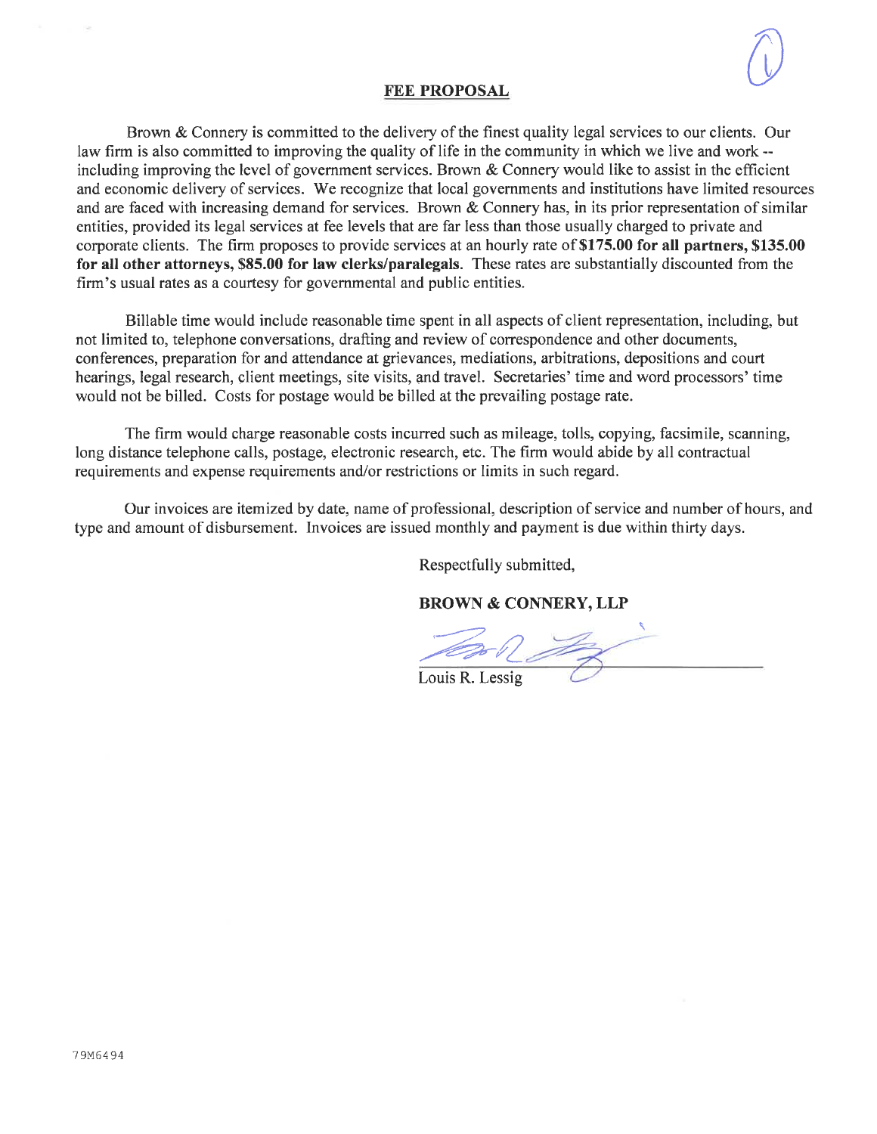#### **FEE PROPOSAL**

Brown & Connery is committed to the delivery of the finest quality legal services to our clients. Our law firm is also committed to improving the quality of life in the community in which we live and work -including improving the level of government services. Brown  $\&$  Connery would like to assist in the efficient and economic delivery of services. We recognize that local governments and institutions have limited resources and are faced with increasing demand for services. Brown & Connery has, in its prior representation of similar entities, provided its legal services at fee levels that are far less than those usually charged to private and corporate clients. The firm proposes to provide services at an hourly rate of \$175.00 for all partners, \$135.00 for all other attorneys, \$85.00 for law clerks/paralegals. These rates are substantially discounted from the firm's usual rates as a courtesy for governmental and public entities.

Billable time would include reasonable time spent in all aspects of client representation, including, but not limited to, telephone conversations, drafting and review of correspondence and other documents, conferences, preparation for and attendance at grievances, mediations, arbitrations, depositions and court hearings, legal research, client meetings, site visits, and travel. Secretaries' time and word processors' time would not be billed. Costs for postage would be billed at the prevailing postage rate.

The firm would charge reasonable costs incurred such as mileage, tolls, copying, facsimile, scanning, long distance telephone calls, postage, electronic research, etc. The firm would abide by all contractual requirements and expense requirements and/or restrictions or limits in such regard.

Our invoices are itemized by date, name of professional, description of service and number of hours, and type and amount of disbursement. Invoices are issued monthly and payment is due within thirty days.

Respectfully submitted,

**BROWN & CONNERY, LLP** 

Louis R. Lessig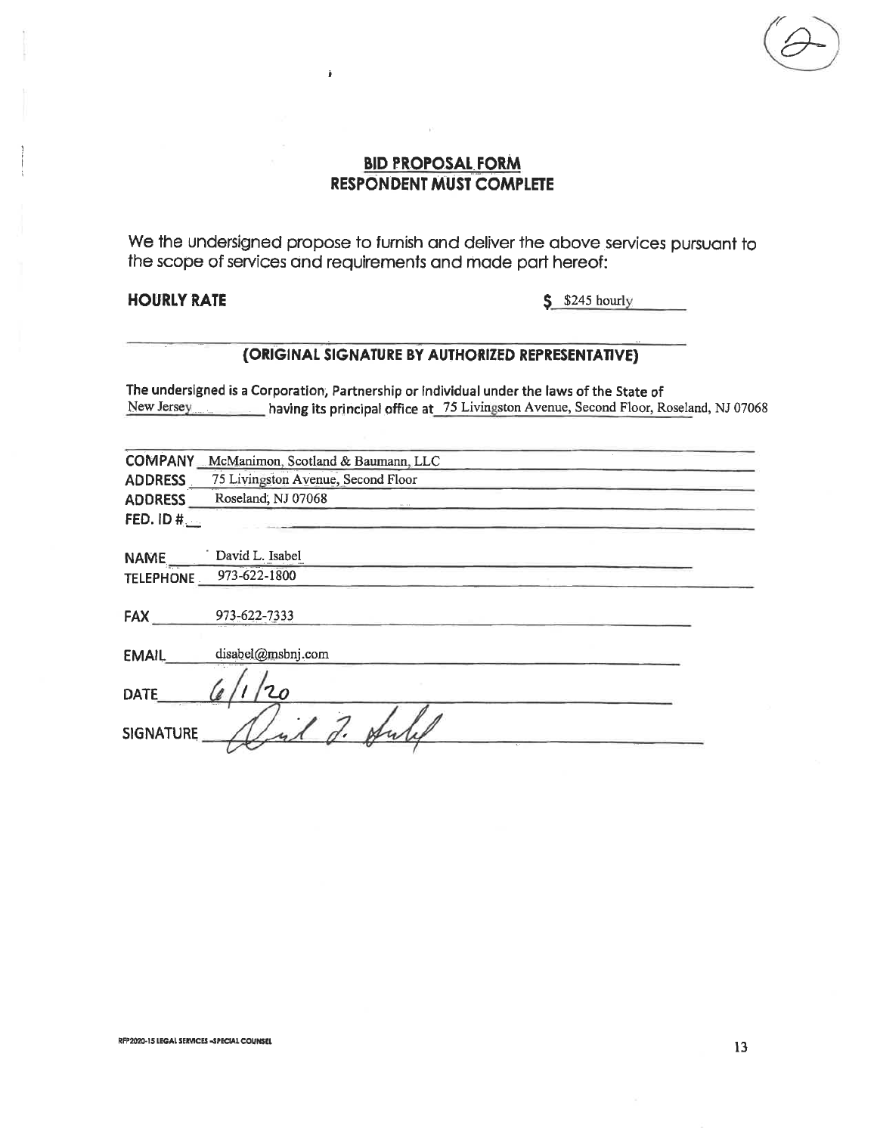## **BID PROPOSAL FORM RESPONDENT MUST COMPLETE**

Ä

We the undersigned propose to furnish and deliver the above services pursuant to the scope of services and requirements and made part hereof:

### **HOURLY RATE**

 $$$  \$245 hourly

## (ORIGINAL SIGNATURE BY AUTHORIZED REPRESENTATIVE)

The undersigned is a Corporation, Partnership or individual under the laws of the State of New Jersey having its principal office at 75 Livingston Avenue, Second Floor, Roseland, NJ 07068

| <b>COMPANY</b>   | McManimon, Scotland & Baumann, LLC |
|------------------|------------------------------------|
| ADDRESS          | 75 Livingston Avenue, Second Floor |
| <b>ADDRESS</b>   | Roseland, NJ 07068                 |
| FED. ID $#$      |                                    |
| <b>NAME</b>      | David L. Isabel                    |
| <b>TELEPHONE</b> | 973-622-1800                       |
| <b>FAX</b>       | 973-622-7333                       |
| <b>EMAIL</b>     | disabel@msbnj.com                  |
| <b>DATE</b>      |                                    |
| <b>SIGNATURE</b> |                                    |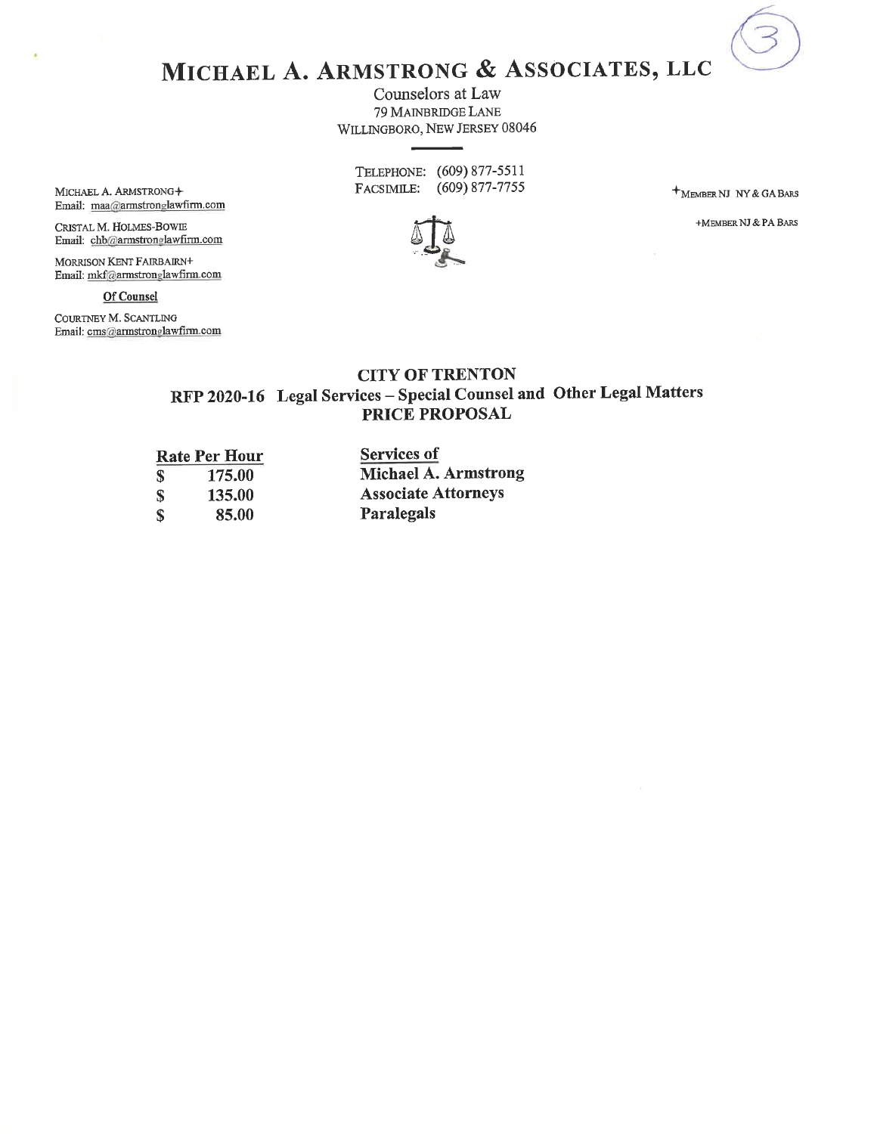MICHAEL A. ARMSTRONG & ASSOCIATES, LLC

Counselors at Law 79 MAINBRIDGE LANE WILLINGBORO, NEW JERSEY 08046

TELEPHONE: (609) 877-5511 FACSIMILE: (609) 877-7755

+MEMBER NJ NY & GA BARS

+MEMBER NJ & PA BARS



MICHAEL A. ARMSTRONG+ Email: maa@armstronglawfirm.com

CRISTAL M. HOLMES-BOWIE Email: chb@armstronglawfirm.com

MORRISON KENT FAIRBAIRN+ Email: mkf@armstronglawfirm.com

Of Counsel

COURTNEY M. SCANTLING Email: cms@armstronglawfirm.com

## **CITY OF TRENTON** RFP 2020-16 Legal Services - Special Counsel and Other Legal Matters PRICE PROPOSAL

|    | <b>Rate Per Hour</b> | <b>Services of</b>          |  |  |  |  |
|----|----------------------|-----------------------------|--|--|--|--|
| S. | 175.00               | <b>Michael A. Armstrong</b> |  |  |  |  |
| S  | 135.00               | <b>Associate Attorneys</b>  |  |  |  |  |
| S  | 85.00                | Paralegals                  |  |  |  |  |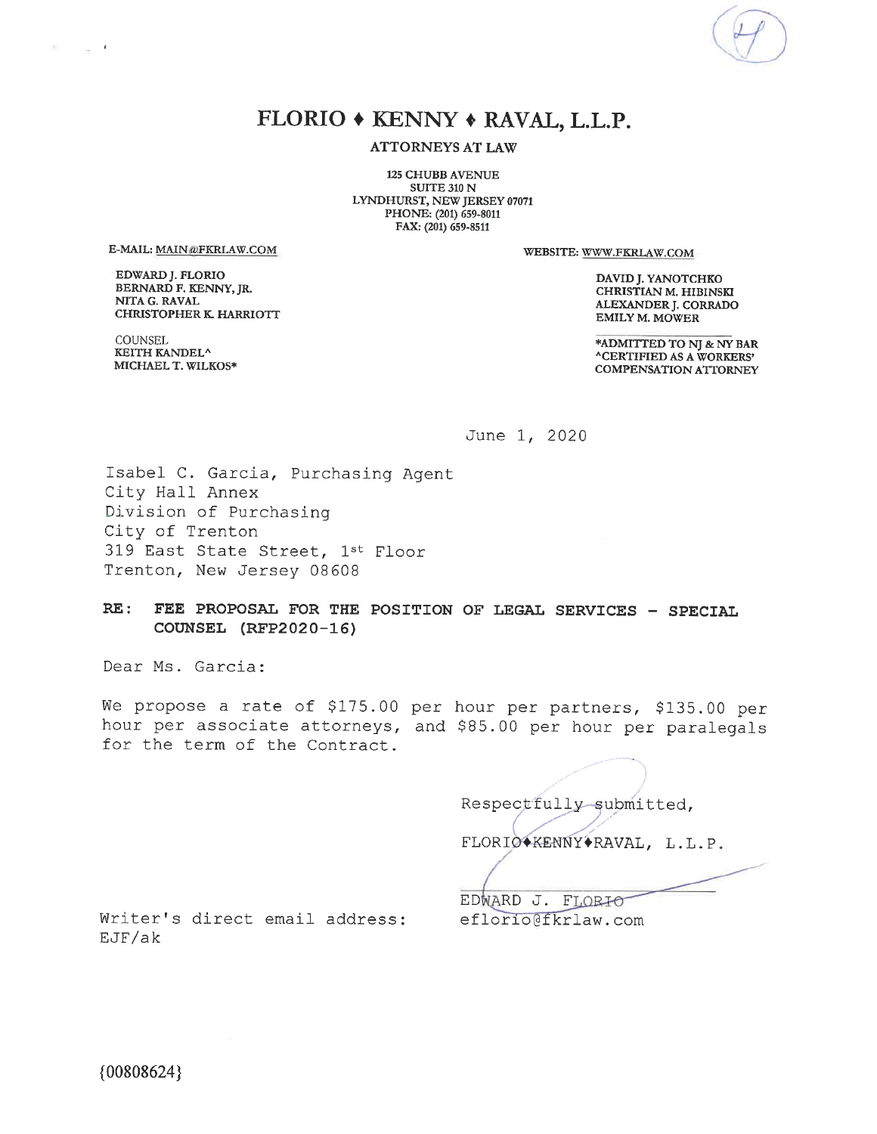

# FLORIO + KENNY + RAVAL, L.L.P.

**ATTORNEYS AT LAW** 

**125 CHUBB AVENUE SUITE 310 N** LYNDHURST, NEW JERSEY 07071 PHONE: (201) 659-8011 FAX: (201) 659-8511

E-MAIL: MAIN@FKRLAW.COM

 $\sim$   $^{-1}$ 

1971

EDWARD J. FLORIO BERNARD F. KENNY, JR. NITA G. RAVAL **CHRISTOPHER K. HARRIOTT**  WEBSITE: WWW.FKRLAW.COM

DAVID J. YANOTCHKO CHRISTIAN M. HIBINSKI ALEXANDER J. CORRADO **EMILY M. MOWER** 

\*ADMITTED TO NJ & NY BAR **ACERTIFIED AS A WORKERS' COMPENSATION ATTORNEY** 

**COUNSEL KEITH KANDEL<sup>^</sup>** MICHAEL T. WILKOS\*

June 1, 2020

Isabel C. Garcia, Purchasing Agent City Hall Annex Division of Purchasing City of Trenton 319 East State Street, 1st Floor Trenton, New Jersey 08608

FEE PROPOSAL FOR THE POSITION OF LEGAL SERVICES - SPECIAL  $RE:$ COUNSEL (RFP2020-16)

Dear Ms. Garcia:

We propose a rate of \$175.00 per hour per partners, \$135.00 per hour per associate attorneys, and \$85.00 per hour per paralegals for the term of the Contract.

Respectfully submitted, FLORIO+KENNY+RAVAL, L.L.P.

Writer's direct email address: EJF/ak

EDWARD J. FLORIO eflorio@fkrlaw.com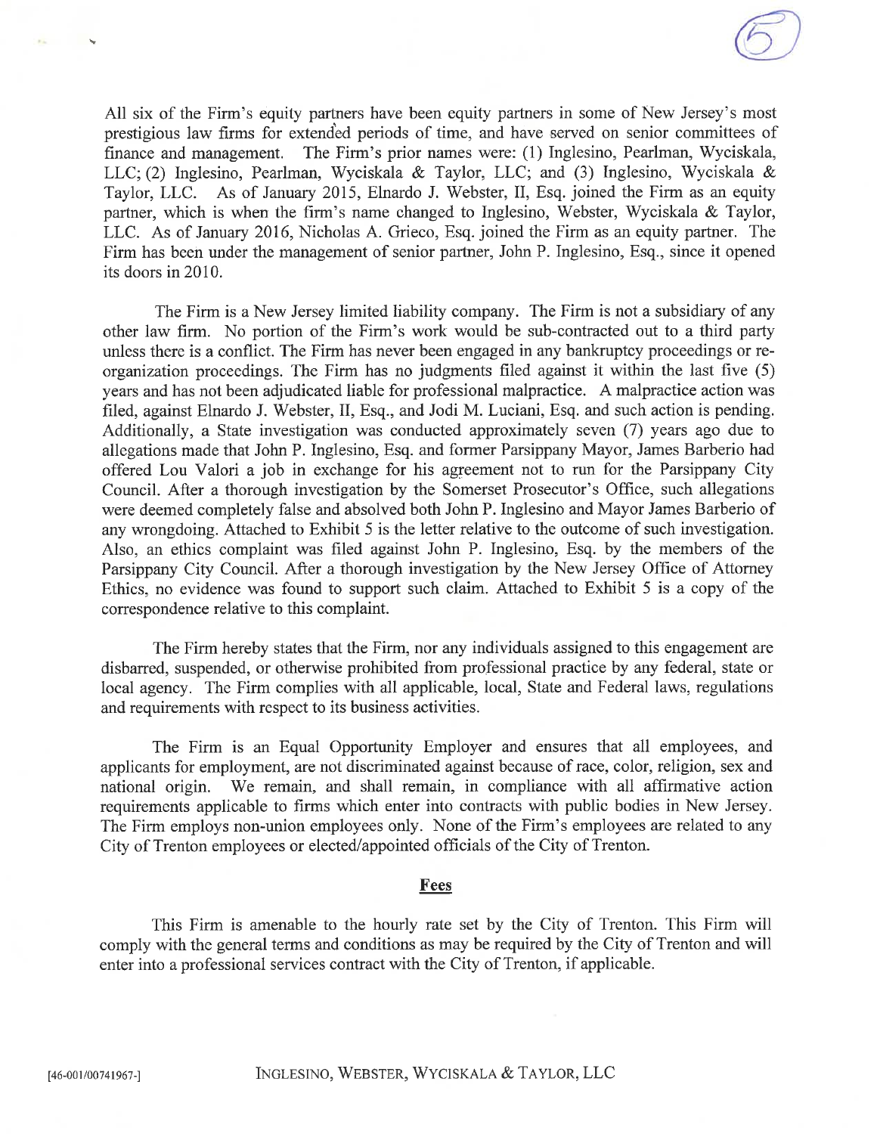All six of the Firm's equity partners have been equity partners in some of New Jersey's most prestigious law firms for extended periods of time, and have served on senior committees of finance and management. The Firm's prior names were: (1) Inglesino, Pearlman, Wyciskala, LLC; (2) Inglesino, Pearlman, Wyciskala & Taylor, LLC; and (3) Inglesino, Wyciskala & Taylor, LLC. As of January 2015, Elnardo J. Webster, II, Esq. joined the Firm as an equity partner, which is when the firm's name changed to Inglesino, Webster, Wyciskala & Taylor, LLC. As of January 2016, Nicholas A. Grieco, Esq. joined the Firm as an equity partner. The Firm has been under the management of senior partner, John P. Inglesino, Esq., since it opened its doors in 2010.

The Firm is a New Jersey limited liability company. The Firm is not a subsidiary of any other law firm. No portion of the Firm's work would be sub-contracted out to a third party unless there is a conflict. The Firm has never been engaged in any bankruptcy proceedings or reorganization proceedings. The Firm has no judgments filed against it within the last five (5) years and has not been adjudicated liable for professional malpractice. A malpractice action was filed, against Elnardo J. Webster, II, Esq., and Jodi M. Luciani, Esq. and such action is pending. Additionally, a State investigation was conducted approximately seven (7) years ago due to allegations made that John P. Inglesino, Esq. and former Parsippany Mayor, James Barberio had offered Lou Valori a job in exchange for his agreement not to run for the Parsippany City Council. After a thorough investigation by the Somerset Prosecutor's Office, such allegations were deemed completely false and absolved both John P. Inglesino and Mayor James Barberio of any wrongdoing. Attached to Exhibit 5 is the letter relative to the outcome of such investigation. Also, an ethics complaint was filed against John P. Inglesino, Esq. by the members of the Parsippany City Council. After a thorough investigation by the New Jersey Office of Attorney Ethics, no evidence was found to support such claim. Attached to Exhibit 5 is a copy of the correspondence relative to this complaint.

The Firm hereby states that the Firm, nor any individuals assigned to this engagement are disbarred, suspended, or otherwise prohibited from professional practice by any federal, state or local agency. The Firm complies with all applicable, local, State and Federal laws, regulations and requirements with respect to its business activities.

The Firm is an Equal Opportunity Employer and ensures that all employees, and applicants for employment, are not discriminated against because of race, color, religion, sex and We remain, and shall remain, in compliance with all affirmative action national origin. requirements applicable to firms which enter into contracts with public bodies in New Jersey. The Firm employs non-union employees only. None of the Firm's employees are related to any City of Trenton employees or elected/appointed officials of the City of Trenton.

#### Fees

This Firm is amenable to the hourly rate set by the City of Trenton. This Firm will comply with the general terms and conditions as may be required by the City of Trenton and will enter into a professional services contract with the City of Trenton, if applicable.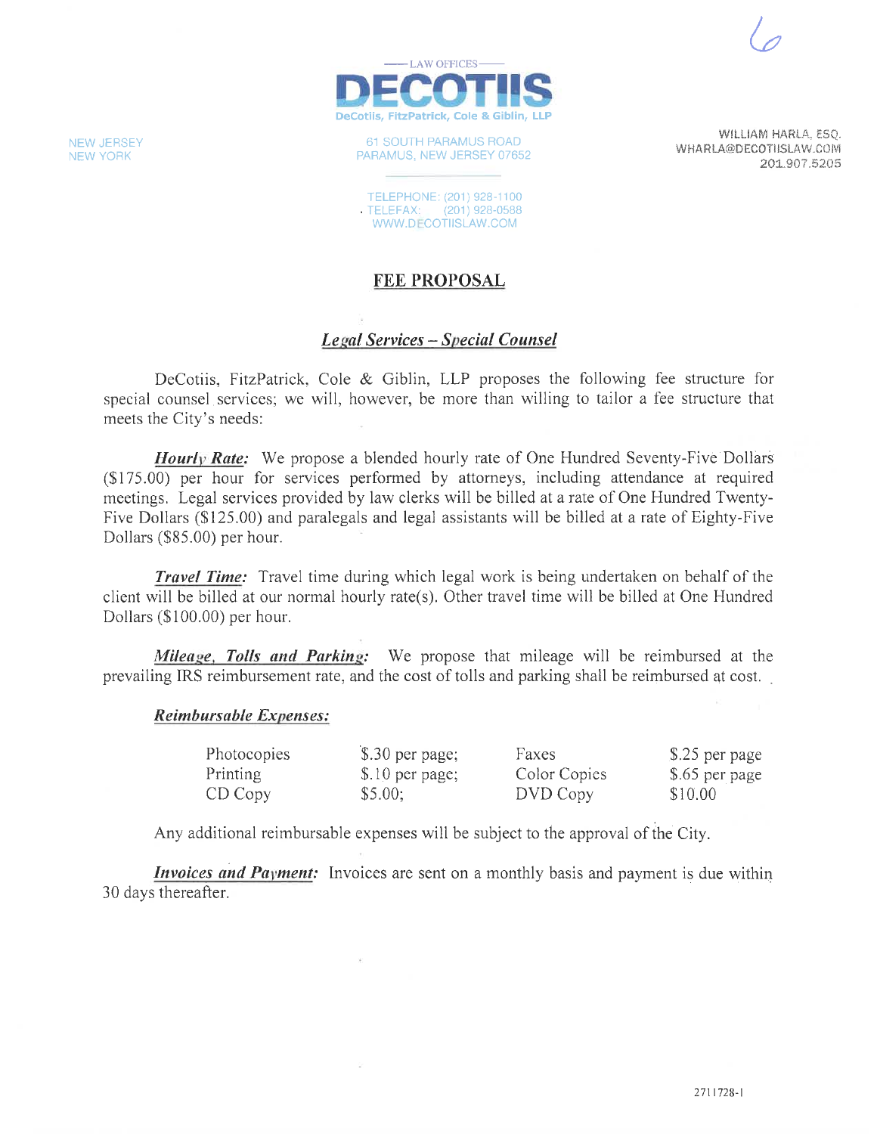WILLIAM HARLA, ESQ.

201.907.5205

WHARLA@DECOTIISLAW.COM



61 SOUTH PARAMUS ROAD PARAMUS, NEW JERSEY 07652

TELEPHONE: (201) 928-1100 TELEFAX: (201) 928-0588 WWW.DECOTIISLAW.COM

## **FEE PROPOSAL**

## **Legal Services – Special Counsel**

DeCotiis, FitzPatrick, Cole & Giblin, LLP proposes the following fee structure for special counsel services; we will, however, be more than willing to tailor a fee structure that meets the City's needs:

**Hourly Rate:** We propose a blended hourly rate of One Hundred Seventy-Five Dollars (\$175.00) per hour for services performed by attorneys, including attendance at required meetings. Legal services provided by law clerks will be billed at a rate of One Hundred Twenty-Five Dollars (\$125.00) and paralegals and legal assistants will be billed at a rate of Eighty-Five Dollars (\$85.00) per hour.

**Travel Time:** Travel time during which legal work is being undertaken on behalf of the client will be billed at our normal hourly rate(s). Other travel time will be billed at One Hundred Dollars (\$100.00) per hour.

Mileage, Tolls and Parking: We propose that mileage will be reimbursed at the prevailing IRS reimbursement rate, and the cost of tolls and parking shall be reimbursed at cost.

#### **Reimbursable Expenses:**

| Photocopies | $$.30$ per page; | Faxes        | \$.25 per page |
|-------------|------------------|--------------|----------------|
| Printing    | \$.10 per page;  | Color Copies | \$.65 per page |
| CD Copy     | \$5.00;          | DVD Copy     | \$10.00        |

Any additional reimbursable expenses will be subject to the approval of the City.

*Invoices and Payment:* Invoices are sent on a monthly basis and payment is due within 30 days thereafter.

**NEW JERSEY NEW YORK**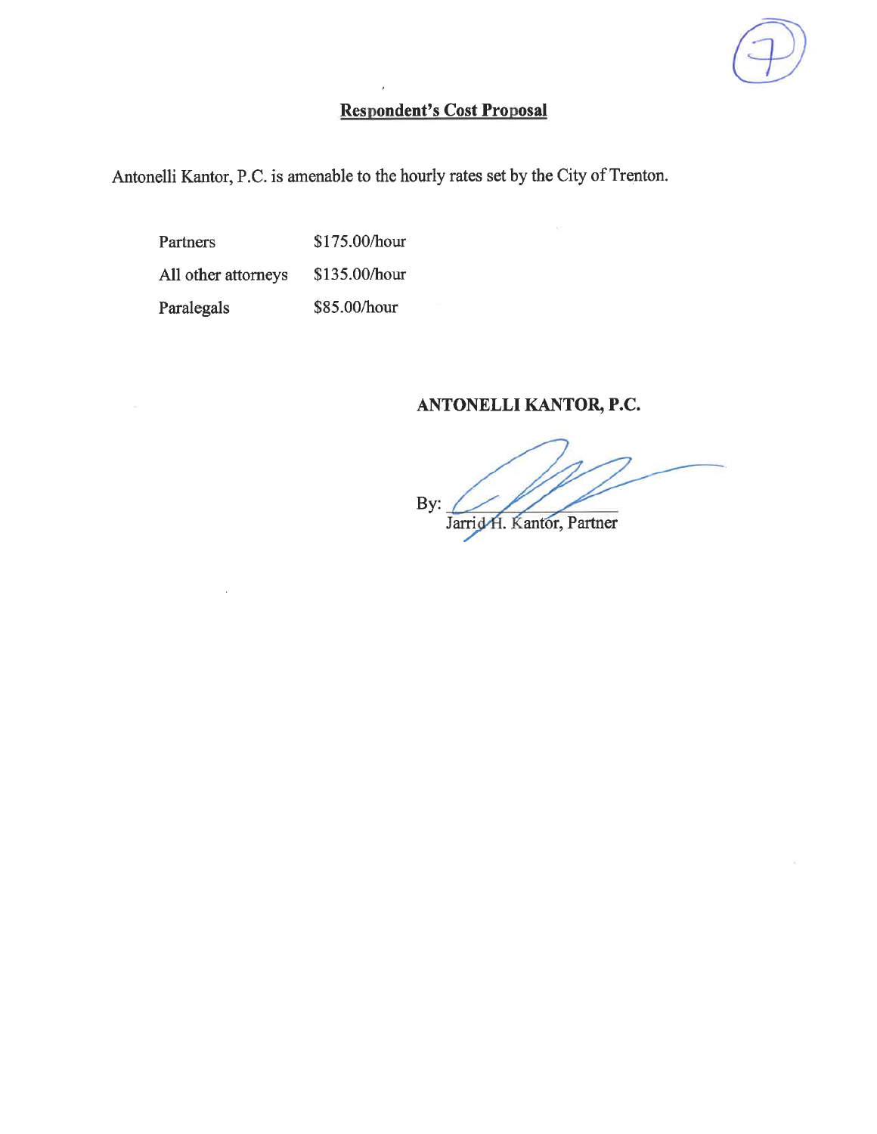# **Respondent's Cost Proposal**

Antonelli Kantor, P.C. is amenable to the hourly rates set by the City of Trenton.

\$175.00/hour Partners All other attorneys \$135.00/hour Paralegals \$85.00/hour

# ANTONELLI KANTOR, P.C.

By: Jarrid H. Kantor, Partner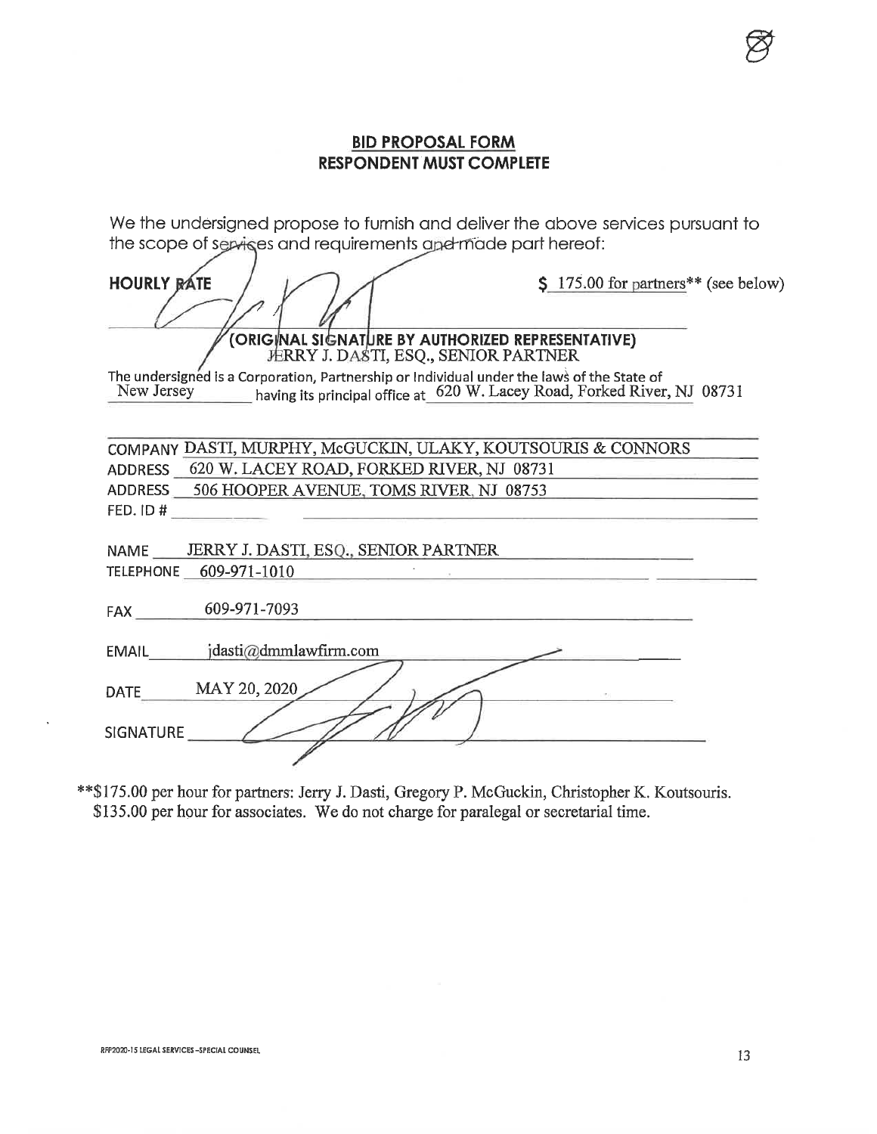## **BID PROPOSAL FORM RESPONDENT MUST COMPLETE**

We the undersigned propose to furnish and deliver the above services pursuant to the scope of services and requirements and made part hereof:

| <b>HOURLY RATE</b>                                                                                                                                                                | \$ 175.00 for partners** (see below) |
|-----------------------------------------------------------------------------------------------------------------------------------------------------------------------------------|--------------------------------------|
| (ORIGINAL SIGNATURE BY AUTHORIZED REPRESENTATIVE)<br>FERRY J. DASTI, ESQ., SENIOR PARTNER                                                                                         |                                      |
| The undersigned is a Corporation, Partnership or Individual under the laws of the State of<br>New Jersey having its principal office at 620 W. Lacey Road, Forked River, NJ 08731 |                                      |
| COMPANY DASTI, MURPHY, McGUCKIN, ULAKY, KOUTSOURIS & CONNORS<br>ADDRESS 620 W. LACEY ROAD, FORKED RIVER, NJ 08731                                                                 |                                      |
| ADDRESS 506 HOOPER AVENUE, TOMS RIVER, NJ 08753<br>FED. ID $#$                                                                                                                    |                                      |
| NAME JERRY J. DASTI, ESQ., SENIOR PARTNER                                                                                                                                         |                                      |
| TELEPHONE 609-971-1010                                                                                                                                                            |                                      |
| FAX 609-971-7093                                                                                                                                                                  |                                      |
| EMAIL jdasti@dmmlawfirm.com                                                                                                                                                       |                                      |
| MAY 20, 2020<br><b>DATE</b>                                                                                                                                                       |                                      |
| SIGNATURE                                                                                                                                                                         |                                      |
|                                                                                                                                                                                   |                                      |

\*\* \$175.00 per hour for partners: Jerry J. Dasti, Gregory P. McGuckin, Christopher K. Koutsouris. \$135.00 per hour for associates. We do not charge for paralegal or secretarial time.

 $\ddot{\phantom{a}}$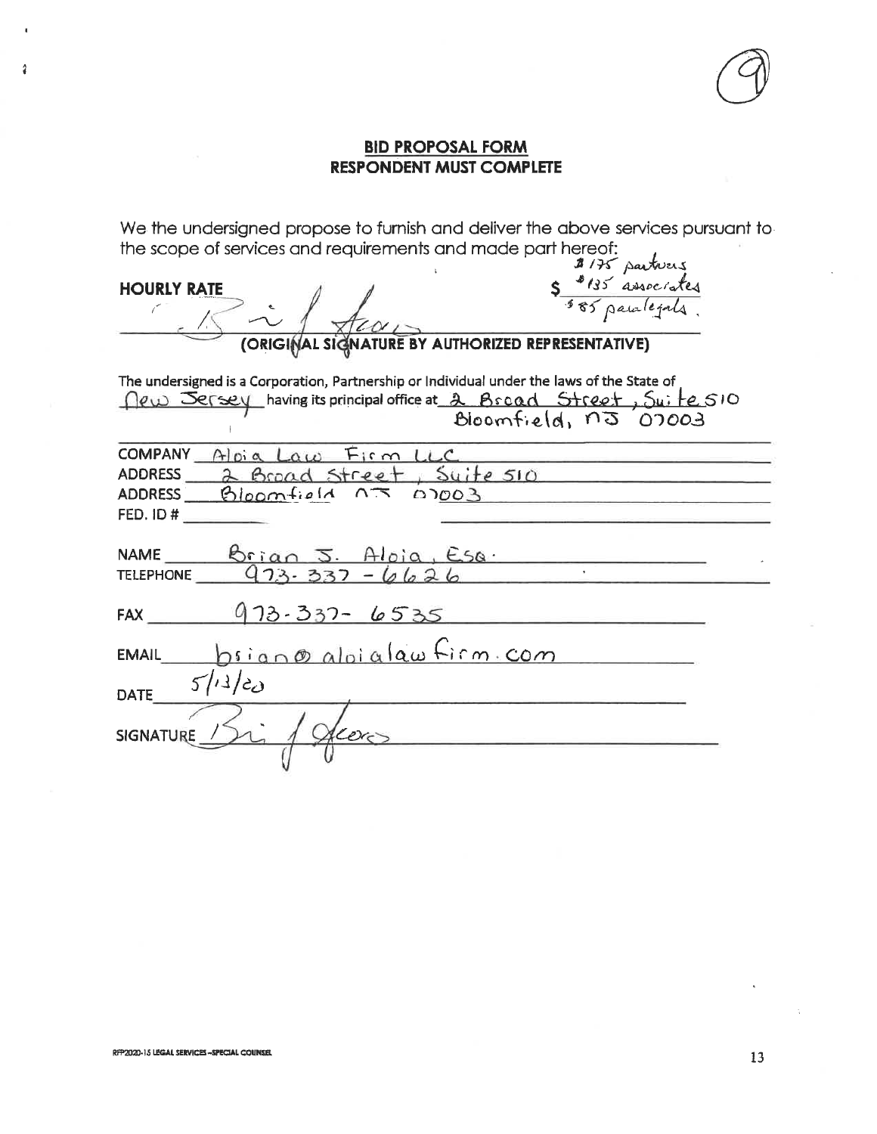## **BID PROPOSAL FORM RESPONDENT MUST COMPLETE**

We the undersigned propose to furnish and deliver the above services pursuant to the scope of services and requirements and made part hereof:<br> $\frac{3}{4}$ /75 particus

| 5 8135 associates<br><b>HOURLY RATE</b>                                                                                                                                                   |
|-------------------------------------------------------------------------------------------------------------------------------------------------------------------------------------------|
| (ORIGINAL SIGNATURE BY AUTHORIZED REPRESENTATIVE)                                                                                                                                         |
| The undersigned is a Corporation, Partnership or Individual under the laws of the State of<br>Dew Sersey having its principal office at 2 Bscad Street, Suite SIO<br>Bloomfield, nJ 07003 |
| COMPANY Aloia Law Firm LLC                                                                                                                                                                |
| ADDRESS 2 Broad Street, Suite 510                                                                                                                                                         |
| ADDRESS Bloomfield $0.5003$                                                                                                                                                               |
|                                                                                                                                                                                           |
| NAME Brian J Aloia, Esa<br>TELEPHONE $923.337 - 6626$                                                                                                                                     |
| FAX 973-337-6535                                                                                                                                                                          |
| $EMAIL$ $binom{\omega}{\alpha}$ aloiglaw $Firm.com$                                                                                                                                       |
| 5/13/20<br><b>DATE</b>                                                                                                                                                                    |
| leer<br>SIGNATURE / 2                                                                                                                                                                     |

 $\overline{2}$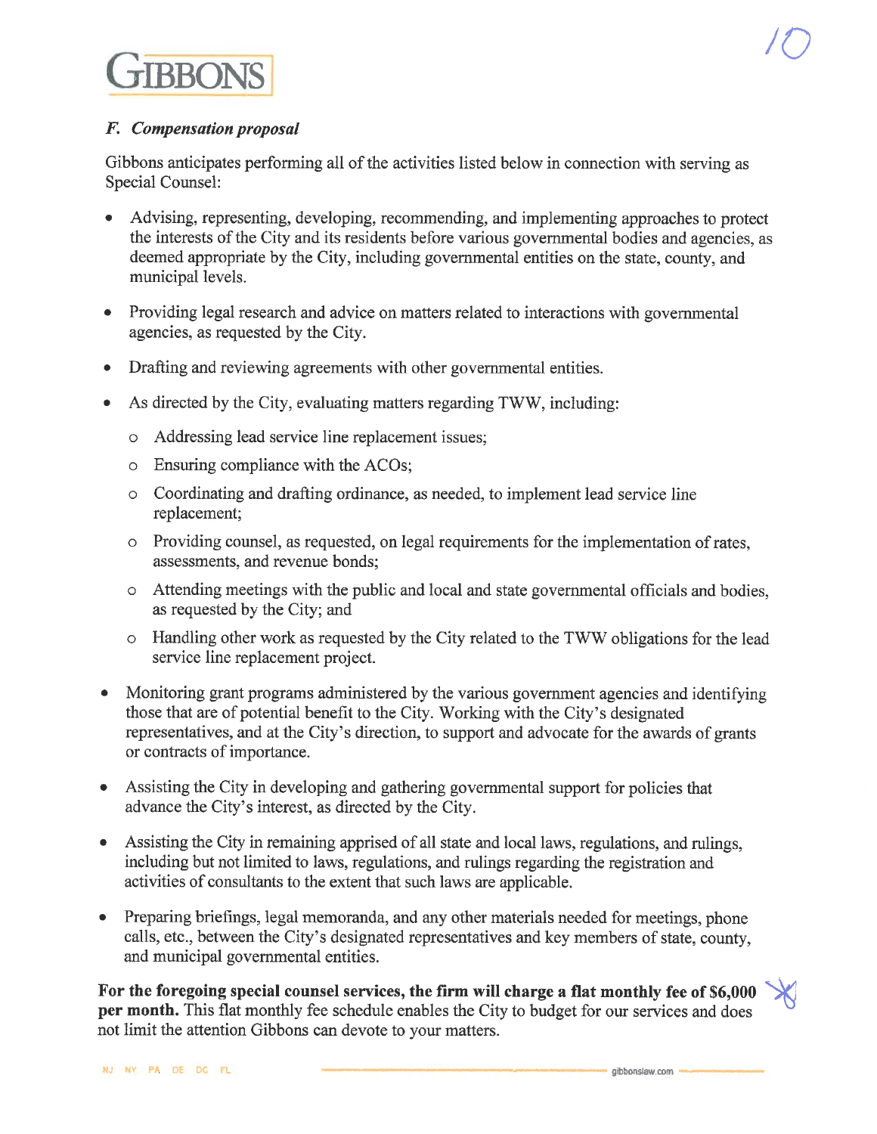## F. Compensation proposal

Gibbons anticipates performing all of the activities listed below in connection with serving as **Special Counsel:** 

- Advising, representing, developing, recommending, and implementing approaches to protect the interests of the City and its residents before various governmental bodies and agencies, as deemed appropriate by the City, including governmental entities on the state, county, and municipal levels.
- Providing legal research and advice on matters related to interactions with governmental  $\bullet$ agencies, as requested by the City.
- Drafting and reviewing agreements with other governmental entities.  $\bullet$
- As directed by the City, evaluating matters regarding TWW, including:
	- o Addressing lead service line replacement issues;
	- o Ensuring compliance with the ACOs;
	- Coordinating and drafting ordinance, as needed, to implement lead service line replacement;
	- o Providing counsel, as requested, on legal requirements for the implementation of rates, assessments, and revenue bonds:
	- o Attending meetings with the public and local and state governmental officials and bodies, as requested by the City; and
	- o Handling other work as requested by the City related to the TWW obligations for the lead service line replacement project.
- $\bullet$ Monitoring grant programs administered by the various government agencies and identifying those that are of potential benefit to the City. Working with the City's designated representatives, and at the City's direction, to support and advocate for the awards of grants or contracts of importance.
- Assisting the City in developing and gathering governmental support for policies that  $\bullet$ advance the City's interest, as directed by the City.
- Assisting the City in remaining apprised of all state and local laws, regulations, and rulings,  $\bullet$ including but not limited to laws, regulations, and rulings regarding the registration and activities of consultants to the extent that such laws are applicable.
- Preparing briefings, legal memoranda, and any other materials needed for meetings, phone  $\bullet$ calls, etc., between the City's designated representatives and key members of state, county, and municipal governmental entities.

For the foregoing special counsel services, the firm will charge a flat monthly fee of \$6,000 per month. This flat monthly fee schedule enables the City to budget for our services and does not limit the attention Gibbons can devote to your matters.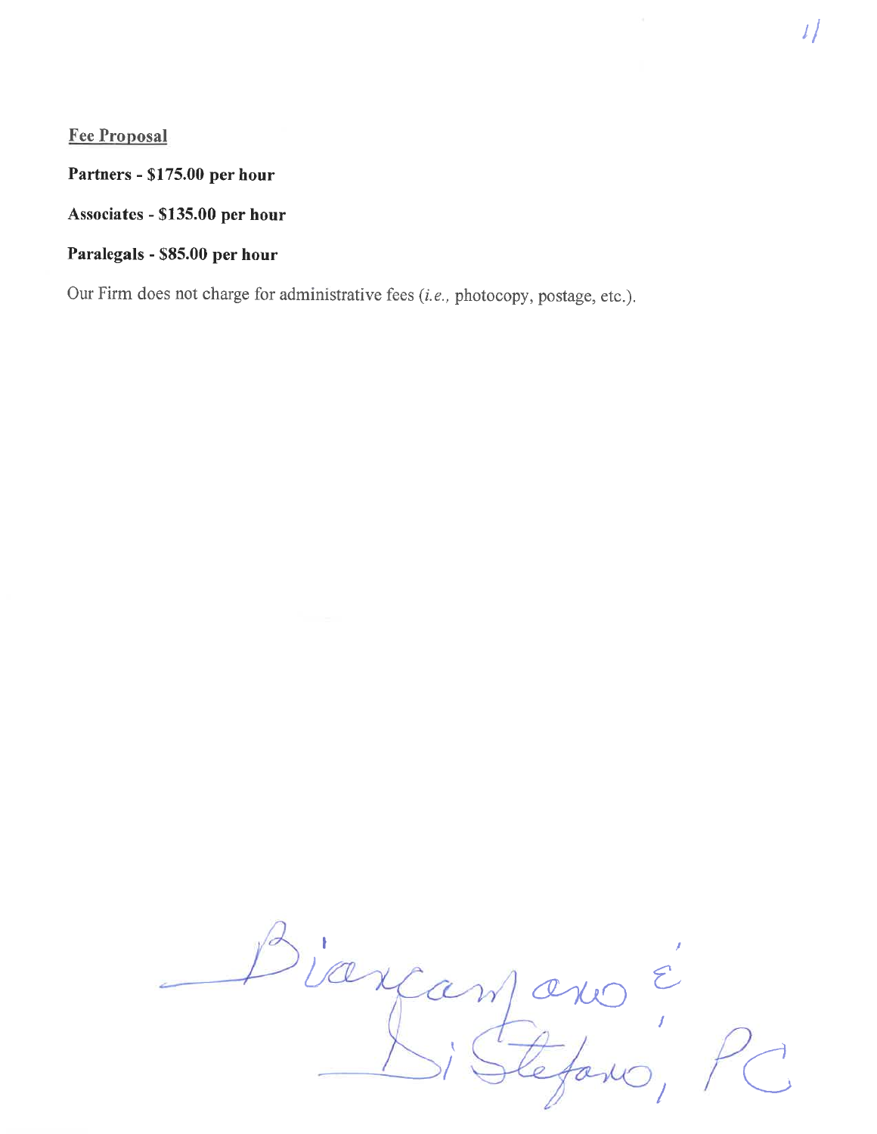# **Fee Proposal**

Partners - \$175.00 per hour

Associates - \$135.00 per hour

# Paralegals - \$85.00 per hour

Our Firm does not charge for administrative fees (i.e., photocopy, postage, etc.).

viange lano,  $\boldsymbol{\mathcal{Z}}$  $\mathcal{W}$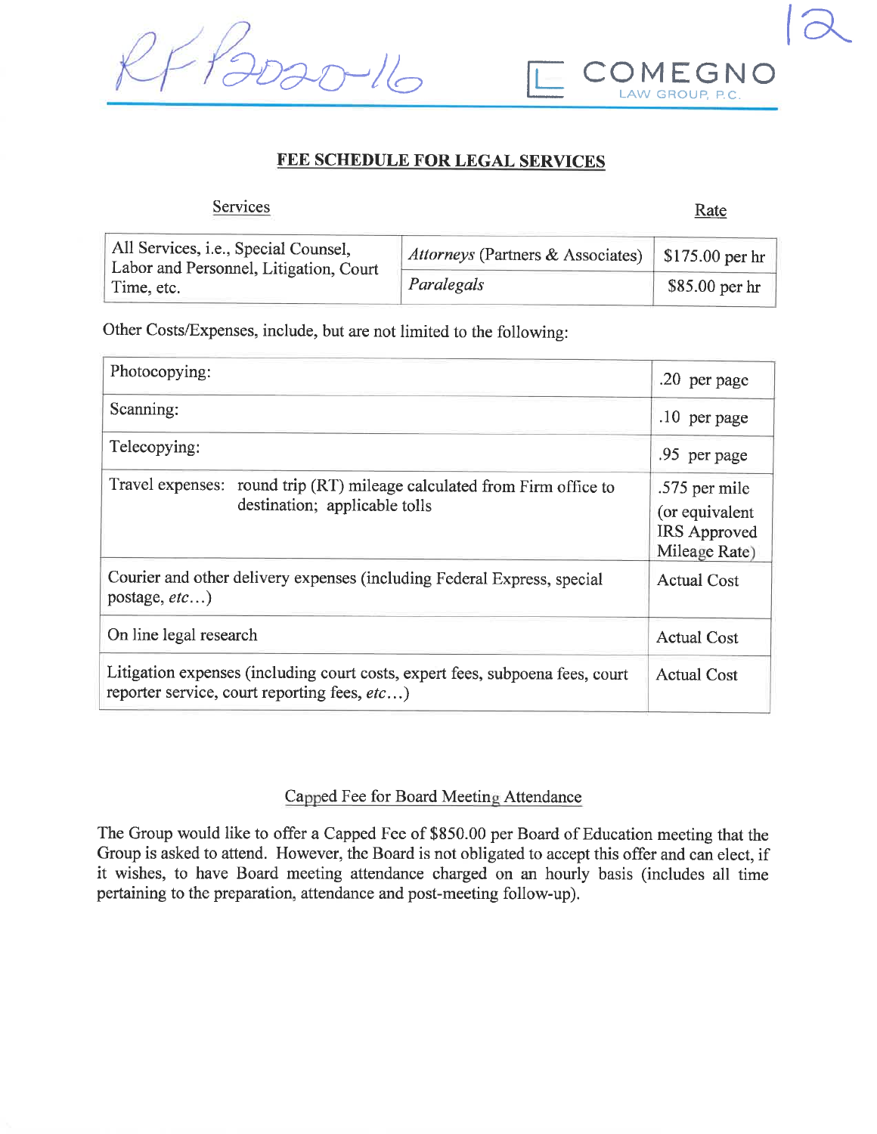



# FEE SCHEDULE FOR LEGAL SERVICES

| <b>Services</b>                                                                |                                                            | Rate            |  |
|--------------------------------------------------------------------------------|------------------------------------------------------------|-----------------|--|
| All Services, i.e., Special Counsel,<br>Labor and Personnel, Litigation, Court | <i>Attorneys</i> (Partners & Associates)   \$175.00 per hr |                 |  |
| Time, etc.                                                                     | Paralegals                                                 | $$85.00$ per hr |  |

Other Costs/Expenses, include, but are not limited to the following:

| Photocopying:                                                                                                                 | .20 per page                                                     |  |
|-------------------------------------------------------------------------------------------------------------------------------|------------------------------------------------------------------|--|
| Scanning:                                                                                                                     | $.10$ per page                                                   |  |
| Telecopying:                                                                                                                  | .95 per page                                                     |  |
| Travel expenses: round trip (RT) mileage calculated from Firm office to<br>destination; applicable tolls                      | .575 per mile<br>(or equivalent<br>IRS Approved<br>Mileage Rate) |  |
| Courier and other delivery expenses (including Federal Express, special<br>postage, $etc$ )                                   | Actual Cost                                                      |  |
| On line legal research                                                                                                        | <b>Actual Cost</b>                                               |  |
| Litigation expenses (including court costs, expert fees, subpoena fees, court<br>reporter service, court reporting fees, etc) | <b>Actual Cost</b>                                               |  |

## Capped Fee for Board Meeting Attendance

The Group would like to offer a Capped Fee of \$850.00 per Board of Education meeting that the Group is asked to attend. However, the Board is not obligated to accept this offer and can elect, if it wishes, to have Board meeting attendance charged on an hourly basis (includes all time pertaining to the preparation, attendance and post-meeting follow-up).